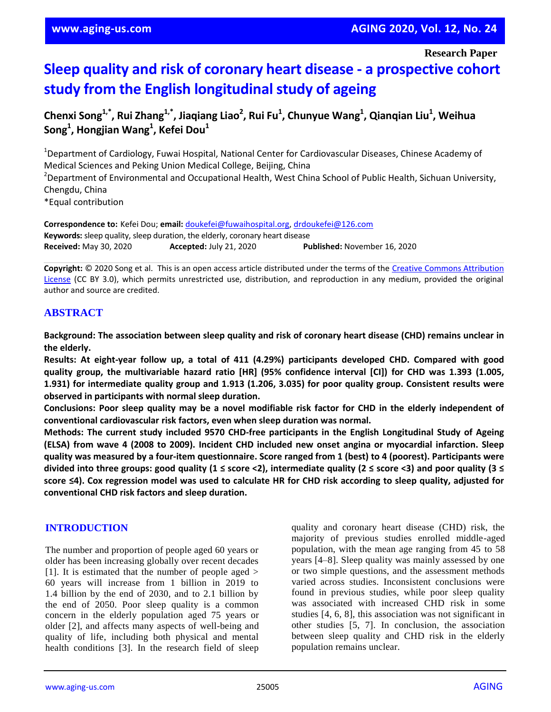**Research Paper**

# **Sleep quality and risk of coronary heart disease - a prospective cohort study from the English longitudinal study of ageing**

**Chenxi Song1,\* , Rui Zhang1,\* , Jiaqiang Liao<sup>2</sup> , Rui Fu<sup>1</sup> , Chunyue Wang<sup>1</sup> , Qianqian Liu<sup>1</sup> , Weihua Song<sup>1</sup> , Hongjian Wang<sup>1</sup> , Kefei Dou<sup>1</sup>**

<sup>1</sup>Department of Cardiology, Fuwai Hospital, National Center for Cardiovascular Diseases, Chinese Academy of Medical Sciences and Peking Union Medical College, Beijing, China <sup>2</sup>Department of Environmental and Occupational Health, West China School of Public Health, Sichuan University, Chengdu, China \*Equal contribution

**Correspondence to:** Kefei Dou; **email:** doukefei@fuwaihospital.org, drdoukefei@126.com **Keywords:** sleep quality, sleep duration, the elderly, coronary heart disease **Received:** May 30, 2020 **Accepted:** July 21, 2020 **Published:** November 16, 2020

**Copyright:** © 2020 Song et al. This is an open access article distributed under the terms of the Creative Commons Attribution License (CC BY 3.0), which permits unrestricted use, distribution, and reproduction in any medium, provided the original author and source are credited.

## **ABSTRACT**

**Background: The association between sleep quality and risk of coronary heart disease (CHD) remains unclear in the elderly.**

**Results: At eight-year follow up, a total of 411 (4.29%) participants developed CHD. Compared with good quality group, the multivariable hazard ratio [HR] (95% confidence interval [CI]) for CHD was 1.393 (1.005, 1.931) for intermediate quality group and 1.913 (1.206, 3.035) for poor quality group. Consistent results were observed in participants with normal sleep duration.**

Conclusions: Poor sleep quality may be a novel modifiable risk factor for CHD in the elderly independent of **conventional cardiovascular risk factors, even when sleep duration was normal.**

**Methods: The current study included 9570 CHD-free participants in the English Longitudinal Study of Ageing (ELSA) from wave 4 (2008 to 2009). Incident CHD included new onset angina or myocardial infarction. Sleep** quality was measured by a four-item questionnaire. Score ranged from 1 (best) to 4 (poorest). Participants were divided into three groups: good quality (1  $\le$  score <2), intermediate quality (2  $\le$  score <3) and poor quality (3  $\le$ score <4). Cox regression model was used to calculate HR for CHD risk according to sleep quality, adjusted for **conventional CHD risk factors and sleep duration.**

#### **INTRODUCTION**

The number and proportion of people aged 60 years or older has been increasing globally over recent decades [1]. It is estimated that the number of people aged  $>$ 60 years will increase from 1 billion in 2019 to 1.4 billion by the end of 2030, and to 2.1 billion by the end of 2050. Poor sleep quality is a common concern in the elderly population aged 75 years or older [2], and affects many aspects of well-being and quality of life, including both physical and mental health conditions [3]. In the research field of sleep

quality and coronary heart disease (CHD) risk, the majority of previous studies enrolled middle-aged population, with the mean age ranging from 45 to 58 years [4–8]. Sleep quality was mainly assessed by one or two simple questions, and the assessment methods varied across studies. Inconsistent conclusions were found in previous studies, while poor sleep quality was associated with increased CHD risk in some studies [4, 6, 8], this association was not significant in other studies [5, 7]. In conclusion, the association between sleep quality and CHD risk in the elderly population remains unclear.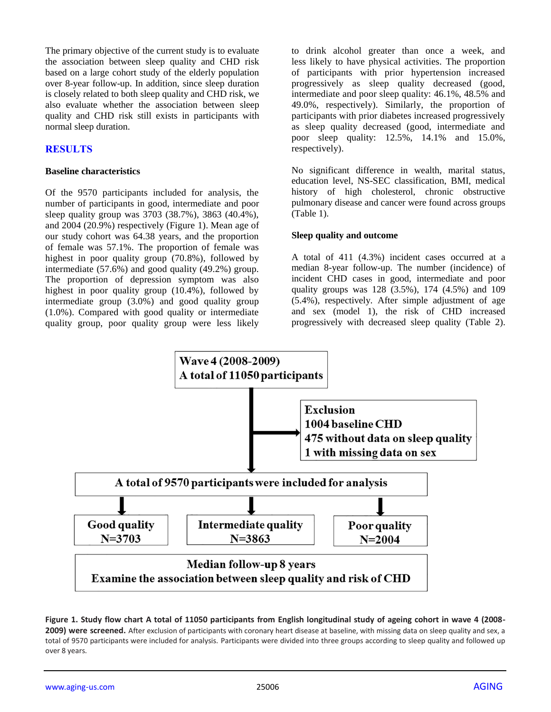The primary objective of the current study is to evaluate the association between sleep quality and CHD risk based on a large cohort study of the elderly population over 8-year follow-up. In addition, since sleep duration is closely related to both sleep quality and CHD risk, we also evaluate whether the association between sleep quality and CHD risk still exists in participants with normal sleep duration.

#### **RESULTS**

#### **Baseline characteristics**

Of the 9570 participants included for analysis, the number of participants in good, intermediate and poor sleep quality group was 3703 (38.7%), 3863 (40.4%), and 2004 (20.9%) respectively (Figure 1). Mean age of our study cohort was 64.38 years, and the proportion of female was 57.1%. The proportion of female was highest in poor quality group (70.8%), followed by intermediate (57.6%) and good quality (49.2%) group. The proportion of depression symptom was also highest in poor quality group (10.4%), followed by intermediate group (3.0%) and good quality group (1.0%). Compared with good quality or intermediate quality group, poor quality group were less likely

to drink alcohol greater than once a week, and less likely to have physical activities. The proportion of participants with prior hypertension increased progressively as sleep quality decreased (good, intermediate and poor sleep quality: 46.1%, 48.5% and 49.0%, respectively). Similarly, the proportion of participants with prior diabetes increased progressively as sleep quality decreased (good, intermediate and poor sleep quality: 12.5%, 14.1% and 15.0%, respectively).

No significant difference in wealth, marital status, education level, NS-SEC classification, BMI, medical history of high cholesterol, chronic obstructive pulmonary disease and cancer were found across groups (Table 1).

#### **Sleep quality and outcome**

A total of 411 (4.3%) incident cases occurred at a median 8-year follow-up. The number (incidence) of incident CHD cases in good, intermediate and poor quality groups was 128 (3.5%), 174 (4.5%) and 109 (5.4%), respectively. After simple adjustment of age and sex (model 1), the risk of CHD increased progressively with decreased sleep quality (Table 2).



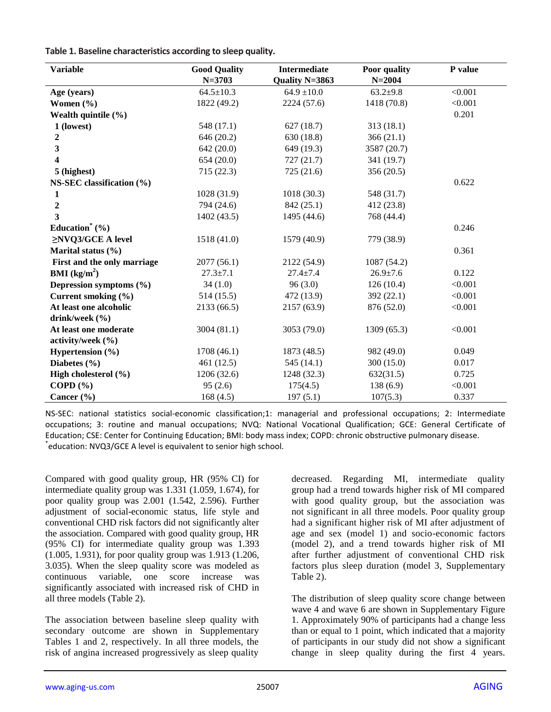**Table 1. Baseline characteristics according to sleep quality.**

| <b>Variable</b>                         | <b>Good Quality</b> | <b>Intermediate</b> | Poor quality   | P value |
|-----------------------------------------|---------------------|---------------------|----------------|---------|
|                                         | $N = 3703$          | Quality N=3863      | $N = 2004$     |         |
| Age (years)                             | $64.5 \pm 10.3$     | $64.9 \pm 10.0$     | $63.2{\pm}9.8$ | < 0.001 |
| Women $(\% )$                           | 1822 (49.2)         | 2224 (57.6)         | 1418 (70.8)    | < 0.001 |
| Wealth quintile $(\% )$                 |                     |                     |                | 0.201   |
| 1 (lowest)                              | 548 (17.1)          | 627(18.7)           | 313 (18.1)     |         |
| 2                                       | 646 (20.2)          | 630 (18.8)          | 366(21.1)      |         |
| 3                                       | 642 (20.0)          | 649 (19.3)          | 3587 (20.7)    |         |
| 4                                       | 654(20.0)           | 727(21.7)           | 341 (19.7)     |         |
| 5 (highest)                             | 715(22.3)           | 725 (21.6)          | 356 (20.5)     |         |
| NS-SEC classification (%)               |                     |                     |                | 0.622   |
| 1                                       | 1028 (31.9)         | 1018(30.3)          | 548 (31.7)     |         |
| $\boldsymbol{2}$                        | 794 (24.6)          | 842 (25.1)          | 412 (23.8)     |         |
| 3                                       | 1402 (43.5)         | 1495 (44.6)         | 768 (44.4)     |         |
| Education <sup><math>*</math></sup> (%) |                     |                     |                | 0.246   |
| $\geq$ NVQ3/GCE A level                 | 1518 (41.0)         | 1579 (40.9)         | 779 (38.9)     |         |
| Marital status $(\% )$                  |                     |                     |                | 0.361   |
| First and the only marriage             | 2077(56.1)          | 2122 (54.9)         | 1087 (54.2)    |         |
| <b>BMI</b> ( $\text{kg/m}^2$ )          | $27.3 \pm 7.1$      | $27.4 + 7.4$        | $26.9 \pm 7.6$ | 0.122   |
| Depression symptoms $(\% )$             | 34(1.0)             | 96(3.0)             | 126(10.4)      | < 0.001 |
| Current smoking (%)                     | 514(15.5)           | 472 (13.9)          | 392 (22.1)     | < 0.001 |
| At least one alcoholic                  | 2133 (66.5)         | 2157 (63.9)         | 876 (52.0)     | < 0.001 |
| drink/week $(\% )$                      |                     |                     |                |         |
| At least one moderate                   | 3004 (81.1)         | 3053 (79.0)         | 1309 (65.3)    | < 0.001 |
| activity/week $(\% )$                   |                     |                     |                |         |
| Hypertension $(\% )$                    | 1708 (46.1)         | 1873 (48.5)         | 982 (49.0)     | 0.049   |
| Diabetes $(\% )$                        | 461(12.5)           | 545(14.1)           | 300 (15.0)     | 0.017   |
| High cholesterol (%)                    | 1206 (32.6)         | 1248 (32.3)         | 632(31.5)      | 0.725   |
| COPD $(\% )$                            | 95(2.6)             | 175(4.5)            | 138 (6.9)      | < 0.001 |
| Cancer $(\% )$                          | 168(4.5)            | 197(5.1)            | 107(5.3)       | 0.337   |

NS-SEC: national statistics social-economic classification;1: managerial and professional occupations; 2: Intermediate occupations; 3: routine and manual occupations; NVQ: National Vocational Qualification; GCE: General Certificate of Education; CSE: Center for Continuing Education; BMI: body mass index; COPD: chronic obstructive pulmonary disease. \* education: NVQ3/GCE A level is equivalent to senior high school.

Compared with good quality group, HR (95% CI) for intermediate quality group was 1.331 (1.059, 1.674), for poor quality group was 2.001 (1.542, 2.596). Further adjustment of social-economic status, life style and conventional CHD risk factors did not significantly alter the association. Compared with good quality group, HR (95% CI) for intermediate quality group was 1.393 (1.005, 1.931), for poor quality group was 1.913 (1.206, 3.035). When the sleep quality score was modeled as continuous variable, one score increase was significantly associated with increased risk of CHD in all three models (Table 2).

The association between baseline sleep quality with secondary outcome are shown in Supplementary Tables 1 and 2, respectively. In all three models, the risk of angina increased progressively as sleep quality

decreased. Regarding MI, intermediate quality group had a trend towards higher risk of MI compared with good quality group, but the association was not significant in all three models. Poor quality group had a significant higher risk of MI after adjustment of age and sex (model 1) and socio-economic factors (model 2), and a trend towards higher risk of MI after further adjustment of conventional CHD risk factors plus sleep duration (model 3, Supplementary Table 2).

The distribution of sleep quality score change between wave 4 and wave 6 are shown in Supplementary Figure 1. Approximately 90% of participants had a change less than or equal to 1 point, which indicated that a majority of participants in our study did not show a significant change in sleep quality during the first 4 years.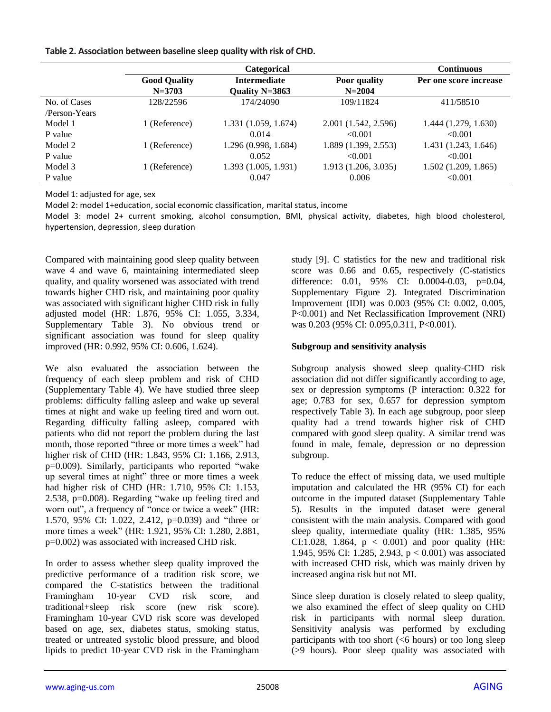| Table 2. Association between baseline sleep quality with risk of CHD. |  |  |  |  |
|-----------------------------------------------------------------------|--|--|--|--|
|-----------------------------------------------------------------------|--|--|--|--|

|               |                     | <b>Categorical</b>   |                      | <b>Continuous</b>      |
|---------------|---------------------|----------------------|----------------------|------------------------|
|               | <b>Good Quality</b> | <b>Intermediate</b>  | Poor quality         | Per one score increase |
|               | $N = 3703$          | Quality N=3863       | $N = 2004$           |                        |
| No. of Cases  | 128/22596           | 174/24090            | 109/11824            | 411/58510              |
| /Person-Years |                     |                      |                      |                        |
| Model 1       | 1 (Reference)       | 1.331 (1.059, 1.674) | 2.001 (1.542, 2.596) | 1.444 (1.279, 1.630)   |
| P value       |                     | 0.014                | < 0.001              | < 0.001                |
| Model 2       | 1 (Reference)       | 1.296 (0.998, 1.684) | 1.889 (1.399, 2.553) | 1.431 (1.243, 1.646)   |
| P value       |                     | 0.052                | < 0.001              | < 0.001                |
| Model 3       | 1 (Reference)       | 1.393(1.005, 1.931)  | 1.913 (1.206, 3.035) | 1.502(1.209, 1.865)    |
| P value       |                     | 0.047                | 0.006                | < 0.001                |

Model 1: adjusted for age, sex

Model 2: model 1+education, social economic classification, marital status, income

Model 3: model 2+ current smoking, alcohol consumption, BMI, physical activity, diabetes, high blood cholesterol, hypertension, depression, sleep duration

Compared with maintaining good sleep quality between wave 4 and wave 6, maintaining intermediated sleep quality, and quality worsened was associated with trend towards higher CHD risk, and maintaining poor quality was associated with significant higher CHD risk in fully adjusted model (HR: 1.876, 95% CI: 1.055, 3.334, Supplementary Table 3). No obvious trend or significant association was found for sleep quality improved (HR: 0.992, 95% CI: 0.606, 1.624).

We also evaluated the association between the frequency of each sleep problem and risk of CHD (Supplementary Table 4). We have studied three sleep problems: difficulty falling asleep and wake up several times at night and wake up feeling tired and worn out. Regarding difficulty falling asleep, compared with patients who did not report the problem during the last month, those reported "three or more times a week" had higher risk of CHD (HR: 1.843, 95% CI: 1.166, 2.913, p=0.009). Similarly, participants who reported "wake up several times at night" three or more times a week had higher risk of CHD (HR: 1.710, 95% CI: 1.153, 2.538, p=0.008). Regarding "wake up feeling tired and worn out", a frequency of "once or twice a week" (HR: 1.570, 95% CI: 1.022, 2.412, p=0.039) and "three or more times a week" (HR: 1.921, 95% CI: 1.280, 2.881, p=0.002) was associated with increased CHD risk.

In order to assess whether sleep quality improved the predictive performance of a tradition risk score, we compared the C-statistics between the traditional Framingham 10-year CVD risk score, and traditional+sleep risk score (new risk score). Framingham 10-year CVD risk score was developed based on age, sex, diabetes status, smoking status, treated or untreated systolic blood pressure, and blood lipids to predict 10-year CVD risk in the Framingham study [9]. C statistics for the new and traditional risk score was 0.66 and 0.65, respectively (C-statistics difference: 0.01, 95% CI: 0.0004-0.03, p=0.04, Supplementary Figure 2). Integrated Discrimination Improvement (IDI) was 0.003 (95% CI: 0.002, 0.005, P<0.001) and Net Reclassification Improvement (NRI) was 0.203 (95% CI: 0.095,0.311, P<0.001).

#### **Subgroup and sensitivity analysis**

Subgroup analysis showed sleep quality-CHD risk association did not differ significantly according to age, sex or depression symptoms (P interaction: 0.322 for age; 0.783 for sex, 0.657 for depression symptom respectively Table 3). In each age subgroup, poor sleep quality had a trend towards higher risk of CHD compared with good sleep quality. A similar trend was found in male, female, depression or no depression subgroup.

To reduce the effect of missing data, we used multiple imputation and calculated the HR (95% CI) for each outcome in the imputed dataset (Supplementary Table 5). Results in the imputed dataset were general consistent with the main analysis. Compared with good sleep quality, intermediate quality (HR: 1.385, 95% CI:1.028, 1.864,  $p < 0.001$ ) and poor quality (HR: 1.945, 95% CI: 1.285, 2.943, p < 0.001) was associated with increased CHD risk, which was mainly driven by increased angina risk but not MI.

Since sleep duration is closely related to sleep quality, we also examined the effect of sleep quality on CHD risk in participants with normal sleep duration. Sensitivity analysis was performed by excluding participants with too short  $(< 6$  hours) or too long sleep (>9 hours). Poor sleep quality was associated with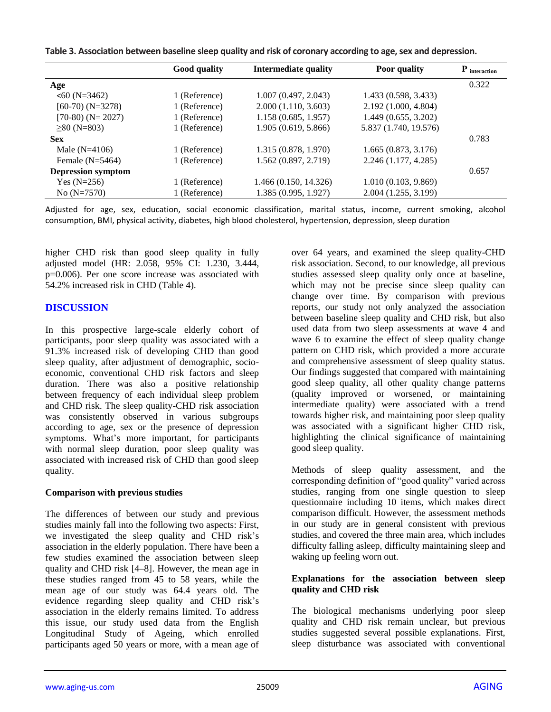| Table 3. Association between baseline sleep quality and risk of coronary according to age, sex and depression. |  |  |  |  |
|----------------------------------------------------------------------------------------------------------------|--|--|--|--|
|----------------------------------------------------------------------------------------------------------------|--|--|--|--|

|                           | <b>Good quality</b> | <b>Intermediate quality</b> | Poor quality          | $\mathbf P$ interaction |
|---------------------------|---------------------|-----------------------------|-----------------------|-------------------------|
| Age                       |                     |                             |                       | 0.322                   |
| $560$ (N=3462)            | 1 (Reference)       | 1.007(0.497, 2.043)         | 1.433 (0.598, 3.433)  |                         |
| $[60-70)$ (N=3278)        | 1 (Reference)       | 2.000(1.110, 3.603)         | 2.192 (1.000, 4.804)  |                         |
| $[70-80)$ (N= 2027)       | 1 (Reference)       | 1.158(0.685, 1.957)         | 1.449(0.655, 3.202)   |                         |
| $\geq 80$ (N=803)         | 1 (Reference)       | 1.905 (0.619, 5.866)        | 5.837 (1.740, 19.576) |                         |
| <b>Sex</b>                |                     |                             |                       | 0.783                   |
| Male $(N=4106)$           | 1 (Reference)       | 1.315 (0.878, 1.970)        | 1.665(0.873, 3.176)   |                         |
| Female $(N=5464)$         | 1 (Reference)       | 1.562 (0.897, 2.719)        | 2.246 (1.177, 4.285)  |                         |
| <b>Depression symptom</b> |                     |                             |                       | 0.657                   |
| Yes $(N=256)$             | 1 (Reference)       | 1.466 (0.150, 14.326)       | 1.010(0.103, 9.869)   |                         |
| No $(N=7570)$             | 1 (Reference)       | 1.385 (0.995, 1.927)        | 2.004 (1.255, 3.199)  |                         |

Adjusted for age, sex, education, social economic classification, marital status, income, current smoking, alcohol consumption, BMI, physical activity, diabetes, high blood cholesterol, hypertension, depression, sleep duration

higher CHD risk than good sleep quality in fully adjusted model (HR: 2.058, 95% CI: 1.230, 3.444, p=0.006). Per one score increase was associated with 54.2% increased risk in CHD (Table 4).

#### **DISCUSSION**

In this prospective large-scale elderly cohort of participants, poor sleep quality was associated with a 91.3% increased risk of developing CHD than good sleep quality, after adjustment of demographic, socioeconomic, conventional CHD risk factors and sleep duration. There was also a positive relationship between frequency of each individual sleep problem and CHD risk. The sleep quality-CHD risk association was consistently observed in various subgroups according to age, sex or the presence of depression symptoms. What's more important, for participants with normal sleep duration, poor sleep quality was associated with increased risk of CHD than good sleep quality.

#### **Comparison with previous studies**

The differences of between our study and previous studies mainly fall into the following two aspects: First, we investigated the sleep quality and CHD risk's association in the elderly population. There have been a few studies examined the association between sleep quality and CHD risk [4–8]. However, the mean age in these studies ranged from 45 to 58 years, while the mean age of our study was 64.4 years old. The evidence regarding sleep quality and CHD risk's association in the elderly remains limited. To address this issue, our study used data from the English Longitudinal Study of Ageing, which enrolled participants aged 50 years or more, with a mean age of over 64 years, and examined the sleep quality-CHD risk association. Second, to our knowledge, all previous studies assessed sleep quality only once at baseline, which may not be precise since sleep quality can change over time. By comparison with previous reports, our study not only analyzed the association between baseline sleep quality and CHD risk, but also used data from two sleep assessments at wave 4 and wave 6 to examine the effect of sleep quality change pattern on CHD risk, which provided a more accurate and comprehensive assessment of sleep quality status. Our findings suggested that compared with maintaining good sleep quality, all other quality change patterns (quality improved or worsened, or maintaining intermediate quality) were associated with a trend towards higher risk, and maintaining poor sleep quality was associated with a significant higher CHD risk, highlighting the clinical significance of maintaining good sleep quality.

Methods of sleep quality assessment, and the corresponding definition of "good quality" varied across studies, ranging from one single question to sleep questionnaire including 10 items, which makes direct comparison difficult. However, the assessment methods in our study are in general consistent with previous studies, and covered the three main area, which includes difficulty falling asleep, difficulty maintaining sleep and waking up feeling worn out.

#### **Explanations for the association between sleep quality and CHD risk**

The biological mechanisms underlying poor sleep quality and CHD risk remain unclear, but previous studies suggested several possible explanations. First, sleep disturbance was associated with conventional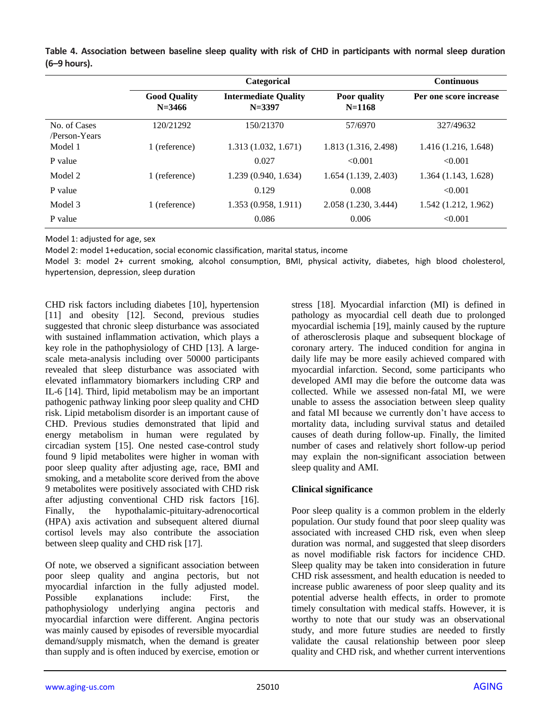|                               |                                   | Categorical                               |                                   | <b>Continuous</b>      |
|-------------------------------|-----------------------------------|-------------------------------------------|-----------------------------------|------------------------|
|                               | <b>Good Quality</b><br>$N = 3466$ | <b>Intermediate Quality</b><br>$N = 3397$ | <b>Poor</b> quality<br>$N = 1168$ | Per one score increase |
| No. of Cases<br>/Person-Years | 120/21292                         | 150/21370                                 | 57/6970                           | 327/49632              |
| Model 1                       | 1 (reference)                     | 1.313(1.032, 1.671)                       | 1.813 (1.316, 2.498)              | 1.416(1.216, 1.648)    |
| P value                       |                                   | 0.027                                     | < 0.001                           | < 0.001                |
| Model 2                       | 1 (reference)                     | 1.239(0.940, 1.634)                       | 1.654(1.139, 2.403)               | 1.364(1.143, 1.628)    |
| P value                       |                                   | 0.129                                     | 0.008                             | < 0.001                |
| Model 3                       | 1 (reference)                     | 1.353(0.958, 1.911)                       | 2.058 (1.230, 3.444)              | 1.542(1.212, 1.962)    |
| P value                       |                                   | 0.086                                     | 0.006                             | < 0.001                |

**Table 4. Association between baseline sleep quality with risk of CHD in participants with normal sleep duration (6–9 hours).**

Model 1: adjusted for age, sex

Model 2: model 1+education, social economic classification, marital status, income

Model 3: model 2+ current smoking, alcohol consumption, BMI, physical activity, diabetes, high blood cholesterol, hypertension, depression, sleep duration

CHD risk factors including diabetes [10], hypertension [11] and obesity [12]. Second, previous studies suggested that chronic sleep disturbance was associated with sustained inflammation activation, which plays a key role in the pathophysiology of CHD [13]. A largescale meta-analysis including over 50000 participants revealed that sleep disturbance was associated with elevated inflammatory biomarkers including CRP and IL-6 [14]. Third, lipid metabolism may be an important pathogenic pathway linking poor sleep quality and CHD risk. Lipid metabolism disorder is an important cause of CHD. Previous studies demonstrated that lipid and energy metabolism in human were regulated by circadian system [15]. One nested case-control study found 9 lipid metabolites were higher in woman with poor sleep quality after adjusting age, race, BMI and smoking, and a metabolite score derived from the above 9 metabolites were positively associated with CHD risk after adjusting conventional CHD risk factors [16]. Finally, the hypothalamic-pituitary-adrenocortical (HPA) axis activation and subsequent altered diurnal cortisol levels may also contribute the association between sleep quality and CHD risk [17].

Of note, we observed a significant association between poor sleep quality and angina pectoris, but not myocardial infarction in the fully adjusted model. Possible explanations include: First, the pathophysiology underlying angina pectoris and myocardial infarction were different. Angina pectoris was mainly caused by episodes of reversible myocardial demand/supply mismatch, when the demand is greater than supply and is often induced by exercise, emotion or stress [18]. Myocardial infarction (MI) is defined in pathology as myocardial cell death due to prolonged myocardial ischemia [19], mainly caused by the rupture of atherosclerosis plaque and subsequent blockage of coronary artery. The induced condition for angina in daily life may be more easily achieved compared with myocardial infarction. Second, some participants who developed AMI may die before the outcome data was collected. While we assessed non-fatal MI, we were unable to assess the association between sleep quality and fatal MI because we currently don't have access to mortality data, including survival status and detailed causes of death during follow-up. Finally, the limited number of cases and relatively short follow-up period may explain the non-significant association between sleep quality and AMI.

## **Clinical significance**

Poor sleep quality is a common problem in the elderly population. Our study found that poor sleep quality was associated with increased CHD risk, even when sleep duration was normal, and suggested that sleep disorders as novel modifiable risk factors for incidence CHD. Sleep quality may be taken into consideration in future CHD risk assessment, and health education is needed to increase public awareness of poor sleep quality and its potential adverse health effects, in order to promote timely consultation with medical staffs. However, it is worthy to note that our study was an observational study, and more future studies are needed to firstly validate the causal relationship between poor sleep quality and CHD risk, and whether current interventions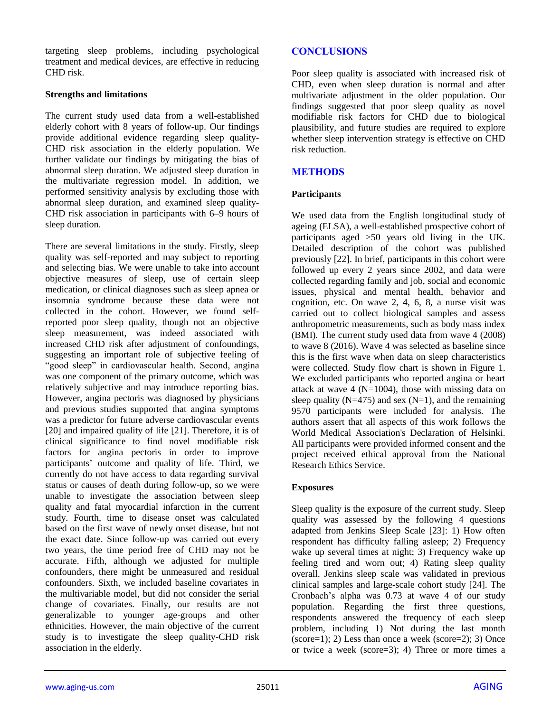targeting sleep problems, including psychological treatment and medical devices, are effective in reducing CHD risk.

#### **Strengths and limitations**

The current study used data from a well-established elderly cohort with 8 years of follow-up. Our findings provide additional evidence regarding sleep quality-CHD risk association in the elderly population. We further validate our findings by mitigating the bias of abnormal sleep duration. We adjusted sleep duration in the multivariate regression model. In addition, we performed sensitivity analysis by excluding those with abnormal sleep duration, and examined sleep quality-CHD risk association in participants with 6–9 hours of sleep duration.

There are several limitations in the study. Firstly, sleep quality was self-reported and may subject to reporting and selecting bias. We were unable to take into account objective measures of sleep, use of certain sleep medication, or clinical diagnoses such as sleep apnea or insomnia syndrome because these data were not collected in the cohort. However, we found selfreported poor sleep quality, though not an objective sleep measurement, was indeed associated with increased CHD risk after adjustment of confoundings, suggesting an important role of subjective feeling of "good sleep" in cardiovascular health. Second, angina was one component of the primary outcome, which was relatively subjective and may introduce reporting bias. However, angina pectoris was diagnosed by physicians and previous studies supported that angina symptoms was a predictor for future adverse cardiovascular events [20] and impaired quality of life [21]. Therefore, it is of clinical significance to find novel modifiable risk factors for angina pectoris in order to improve participants' outcome and quality of life. Third, we currently do not have access to data regarding survival status or causes of death during follow-up, so we were unable to investigate the association between sleep quality and fatal myocardial infarction in the current study. Fourth, time to disease onset was calculated based on the first wave of newly onset disease, but not the exact date. Since follow-up was carried out every two years, the time period free of CHD may not be accurate. Fifth, although we adjusted for multiple confounders, there might be unmeasured and residual confounders. Sixth, we included baseline covariates in the multivariable model, but did not consider the serial change of covariates. Finally, our results are not generalizable to younger age-groups and other ethnicities. However, the main objective of the current study is to investigate the sleep quality-CHD risk association in the elderly.

# **CONCLUSIONS**

Poor sleep quality is associated with increased risk of CHD, even when sleep duration is normal and after multivariate adjustment in the older population. Our findings suggested that poor sleep quality as novel modifiable risk factors for CHD due to biological plausibility, and future studies are required to explore whether sleep intervention strategy is effective on CHD risk reduction.

## **METHODS**

## **Participants**

We used data from the English longitudinal study of ageing (ELSA), a well-established prospective cohort of participants aged >50 years old living in the UK. Detailed description of the cohort was published previously [22]. In brief, participants in this cohort were followed up every 2 years since 2002, and data were collected regarding family and job, social and economic issues, physical and mental health, behavior and cognition, etc. On wave 2, 4, 6, 8, a nurse visit was carried out to collect biological samples and assess anthropometric measurements, such as body mass index (BMI). The current study used data from wave 4 (2008) to wave 8 (2016). Wave 4 was selected as baseline since this is the first wave when data on sleep characteristics were collected. Study flow chart is shown in Figure 1. We excluded participants who reported angina or heart attack at wave 4 ( $N=1004$ ), those with missing data on sleep quality ( $N=475$ ) and sex ( $N=1$ ), and the remaining 9570 participants were included for analysis. The authors assert that all aspects of this work follows the World Medical Association's Declaration of Helsinki. All participants were provided informed consent and the project received ethical approval from the National Research Ethics Service.

## **Exposures**

Sleep quality is the exposure of the current study. Sleep quality was assessed by the following 4 questions adapted from Jenkins Sleep Scale [23]: 1) How often respondent has difficulty falling asleep; 2) Frequency wake up several times at night; 3) Frequency wake up feeling tired and worn out; 4) Rating sleep quality overall. Jenkins sleep scale was validated in previous clinical samples and large-scale cohort study [24]. The Cronbach's alpha was 0.73 at wave 4 of our study population. Regarding the first three questions, respondents answered the frequency of each sleep problem, including 1) Not during the last month  $(\text{score}=1); 2)$  Less than once a week  $(\text{score}=2); 3)$  Once or twice a week (score=3); 4) Three or more times a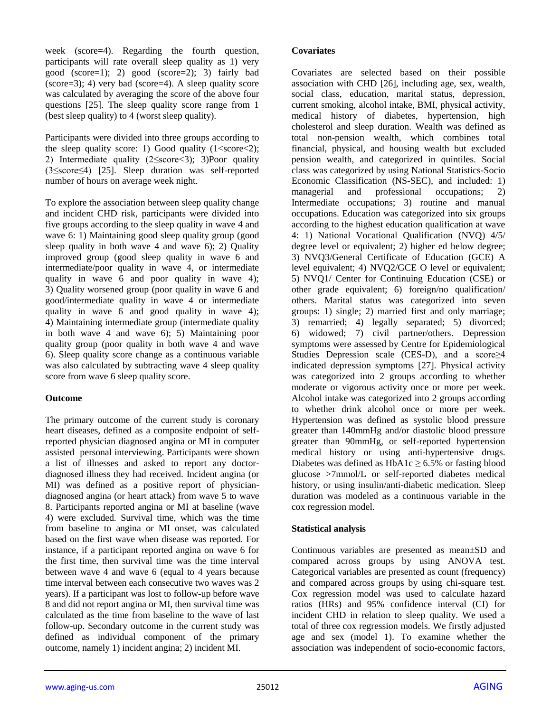week (score=4). Regarding the fourth question, participants will rate overall sleep quality as 1) very good (score=1); 2) good (score=2); 3) fairly bad (score=3); 4) very bad (score=4). A sleep quality score was calculated by averaging the score of the above four questions [25]. The sleep quality score range from 1 (best sleep quality) to 4 (worst sleep quality).

Participants were divided into three groups according to the sleep quality score: 1) Good quality  $(1 < s < c < 2)$ ; 2) Intermediate quality (2≤score<3); 3)Poor quality (3≤score≤4) [25]. Sleep duration was self-reported number of hours on average week night.

To explore the association between sleep quality change and incident CHD risk, participants were divided into five groups according to the sleep quality in wave 4 and wave 6: 1) Maintaining good sleep quality group (good sleep quality in both wave  $4$  and wave  $6$ ; 2) Quality improved group (good sleep quality in wave 6 and intermediate/poor quality in wave 4, or intermediate quality in wave 6 and poor quality in wave 4); 3) Quality worsened group (poor quality in wave 6 and good/intermediate quality in wave 4 or intermediate quality in wave 6 and good quality in wave 4); 4) Maintaining intermediate group (intermediate quality in both wave 4 and wave 6); 5) Maintaining poor quality group (poor quality in both wave 4 and wave 6). Sleep quality score change as a continuous variable was also calculated by subtracting wave 4 sleep quality score from wave 6 sleep quality score.

#### **Outcome**

The primary outcome of the current study is coronary heart diseases, defined as a composite endpoint of selfreported physician diagnosed angina or MI in computer assisted personal interviewing. Participants were shown a list of illnesses and asked to report any doctordiagnosed illness they had received. Incident angina (or MI) was defined as a positive report of physiciandiagnosed angina (or heart attack) from wave 5 to wave 8. Participants reported angina or MI at baseline (wave 4) were excluded. Survival time, which was the time from baseline to angina or MI onset, was calculated based on the first wave when disease was reported. For instance, if a participant reported angina on wave 6 for the first time, then survival time was the time interval between wave 4 and wave 6 (equal to 4 years because time interval between each consecutive two waves was 2 years). If a participant was lost to follow-up before wave 8 and did not report angina or MI, then survival time was calculated as the time from baseline to the wave of last follow-up. Secondary outcome in the current study was defined as individual component of the primary outcome, namely 1) incident angina; 2) incident MI.

#### **Covariates**

Covariates are selected based on their possible association with CHD [26], including age, sex, wealth, social class, education, marital status, depression, current smoking, alcohol intake, BMI, physical activity, medical history of diabetes, hypertension, high cholesterol and sleep duration. Wealth was defined as total non-pension wealth, which combines total financial, physical, and housing wealth but excluded pension wealth, and categorized in quintiles. Social class was categorized by using National Statistics-Socio Economic Classification (NS-SEC), and included: 1) managerial and professional occupations; 2) Intermediate occupations; 3) routine and manual occupations. Education was categorized into six groups according to the highest education qualification at wave 4: 1) National Vocational Qualification (NVQ) 4/5/ degree level or equivalent; 2) higher ed below degree; 3) NVQ3/General Certificate of Education (GCE) A level equivalent; 4) NVQ2/GCE O level or equivalent; 5) NVQ1/ Center for Continuing Education (CSE) or other grade equivalent; 6) foreign/no qualification/ others. Marital status was categorized into seven groups: 1) single; 2) married first and only marriage; 3) remarried; 4) legally separated; 5) divorced; 6) widowed; 7) civil partner/others. Depression symptoms were assessed by Centre for Epidemiological Studies Depression scale (CES-D), and a score≥4 indicated depression symptoms [27]. Physical activity was categorized into 2 groups according to whether moderate or vigorous activity once or more per week. Alcohol intake was categorized into 2 groups according to whether drink alcohol once or more per week. Hypertension was defined as systolic blood pressure greater than 140mmHg and/or diastolic blood pressure greater than 90mmHg, or self-reported hypertension medical history or using anti-hypertensive drugs. Diabetes was defined as  $HbA1c \geq 6.5%$  or fasting blood glucose >7mmol/L or self-reported diabetes medical history, or using insulin/anti-diabetic medication. Sleep duration was modeled as a continuous variable in the cox regression model.

## **Statistical analysis**

Continuous variables are presented as mean±SD and compared across groups by using ANOVA test. Categorical variables are presented as count (frequency) and compared across groups by using chi-square test. Cox regression model was used to calculate hazard ratios (HRs) and 95% confidence interval (CI) for incident CHD in relation to sleep quality. We used a total of three cox regression models. We firstly adjusted age and sex (model 1). To examine whether the association was independent of socio-economic factors,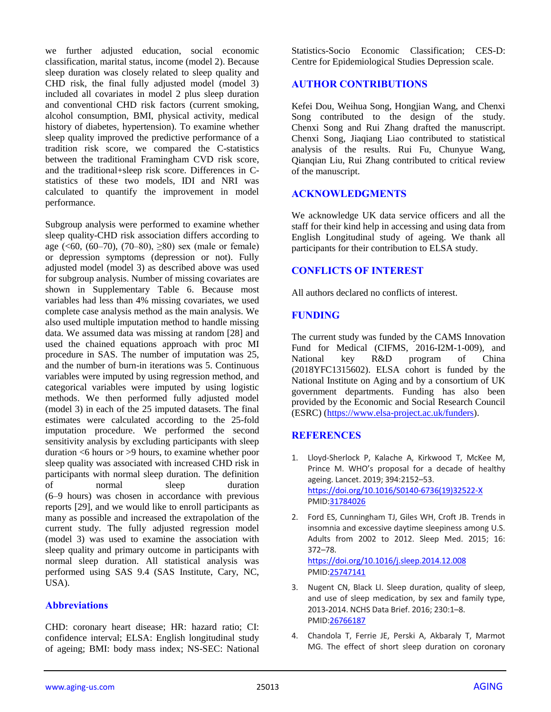we further adjusted education, social economic classification, marital status, income (model 2). Because sleep duration was closely related to sleep quality and CHD risk, the final fully adjusted model (model 3) included all covariates in model 2 plus sleep duration and conventional CHD risk factors (current smoking, alcohol consumption, BMI, physical activity, medical history of diabetes, hypertension). To examine whether sleep quality improved the predictive performance of a tradition risk score, we compared the C-statistics between the traditional Framingham CVD risk score, and the traditional+sleep risk score. Differences in Cstatistics of these two models, IDI and NRI was calculated to quantify the improvement in model performance.

Subgroup analysis were performed to examine whether sleep quality-CHD risk association differs according to age (<60, (60–70), (70–80),  $\geq 80$ ) sex (male or female) or depression symptoms (depression or not). Fully adjusted model (model 3) as described above was used for subgroup analysis. Number of missing covariates are shown in Supplementary Table 6. Because most variables had less than 4% missing covariates, we used complete case analysis method as the main analysis. We also used multiple imputation method to handle missing data. We assumed data was missing at random [28] and used the chained equations approach with proc MI procedure in SAS. The number of imputation was 25, and the number of burn-in iterations was 5. Continuous variables were imputed by using regression method, and categorical variables were imputed by using logistic methods. We then performed fully adjusted model (model 3) in each of the 25 imputed datasets. The final estimates were calculated according to the 25-fold imputation procedure. We performed the second sensitivity analysis by excluding participants with sleep duration <6 hours or >9 hours, to examine whether poor sleep quality was associated with increased CHD risk in participants with normal sleep duration. The definition of normal sleep duration (6–9 hours) was chosen in accordance with previous reports [29], and we would like to enroll participants as many as possible and increased the extrapolation of the current study. The fully adjusted regression model (model 3) was used to examine the association with sleep quality and primary outcome in participants with normal sleep duration. All statistical analysis was performed using SAS 9.4 (SAS Institute, Cary, NC, USA).

## **Abbreviations**

CHD: coronary heart disease; HR: hazard ratio; CI: confidence interval; ELSA: English longitudinal study of ageing; BMI: body mass index; NS-SEC: National Statistics-Socio Economic Classification; CES-D: Centre for Epidemiological Studies Depression scale.

## **AUTHOR CONTRIBUTIONS**

Kefei Dou, Weihua Song, Hongjian Wang, and Chenxi Song contributed to the design of the study. Chenxi Song and Rui Zhang drafted the manuscript. Chenxi Song, Jiaqiang Liao contributed to statistical analysis of the results. Rui Fu, Chunyue Wang, Qianqian Liu, Rui Zhang contributed to critical review of the manuscript.

## **ACKNOWLEDGMENTS**

We acknowledge UK data service officers and all the staff for their kind help in accessing and using data from English Longitudinal study of ageing. We thank all participants for their contribution to ELSA study.

## **CONFLICTS OF INTEREST**

All authors declared no conflicts of interest.

## **FUNDING**

The current study was funded by the CAMS Innovation Fund for Medical (CIFMS, 2016-I2M-1-009), and National key R&D program of China (2018YFC1315602). ELSA cohort is funded by the National Institute on Aging and by a consortium of UK government departments. Funding has also been provided by the Economic and Social Research Council (ESRC) [\(https://www.elsa-project.ac.uk/funders\)](https://www.elsa-project.ac.uk/funders).

## **REFERENCES**

- 1. Lloyd-Sherlock P, Kalache A, Kirkwood T, McKee M, Prince M. WHO's proposal for a decade of healthy ageing. Lancet. 2019; 394:2152–53. [https://doi.org/10.1016/S0140-6736\(19\)32522-X](https://doi.org/10.1016/S0140-6736(19)32522-X) PMI[D:31784026](https://pubmed.ncbi.nlm.nih.gov/31784026)
- 2. Ford ES, Cunningham TJ, Giles WH, Croft JB. Trends in insomnia and excessive daytime sleepiness among U.S. Adults from 2002 to 2012. Sleep Med. 2015; 16: 372–78. <https://doi.org/10.1016/j.sleep.2014.12.008> PMI[D:25747141](https://pubmed.ncbi.nlm.nih.gov/25747141)

3. Nugent CN, Black LI. Sleep duration, quality of sleep, and use of sleep medication, by sex and family type, 2013-2014. NCHS Data Brief. 2016; 230:1–8. PMI[D:26766187](https://pubmed.ncbi.nlm.nih.gov/26766187)

4. Chandola T, Ferrie JE, Perski A, Akbaraly T, Marmot MG. The effect of short sleep duration on coronary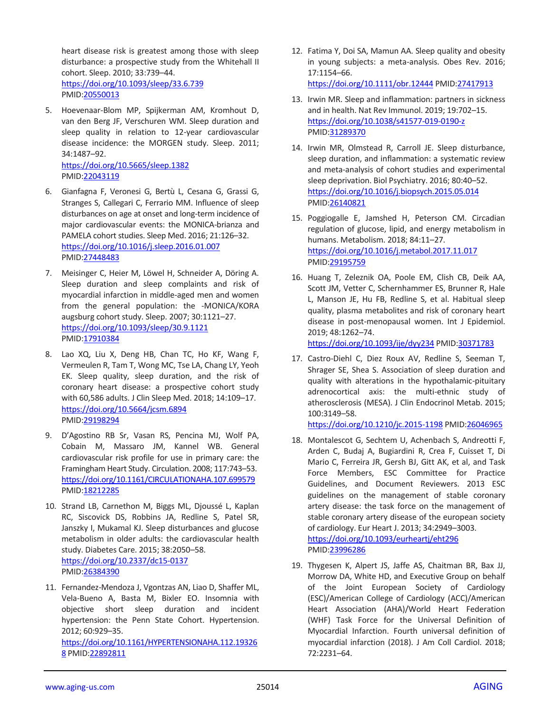heart disease risk is greatest among those with sleep disturbance: a prospective study from the Whitehall II cohort. Sleep. 2010; 33:739–44. <https://doi.org/10.1093/sleep/33.6.739> PMID[:20550013](https://pubmed.ncbi.nlm.nih.gov/20550013)

- 5. Hoevenaar-Blom MP, Spijkerman AM, Kromhout D, van den Berg JF, Verschuren WM. Sleep duration and sleep quality in relation to 12-year cardiovascular disease incidence: the MORGEN study. Sleep. 2011; 34:1487–92. <https://doi.org/10.5665/sleep.1382> PMID[:22043119](https://pubmed.ncbi.nlm.nih.gov/22043119)
- 6. Gianfagna F, Veronesi G, Bertù L, Cesana G, Grassi G, Stranges S, Callegari C, Ferrario MM. Influence of sleep disturbances on age at onset and long-term incidence of major cardiovascular events: the MONICA-brianza and PAMELA cohort studies. Sleep Med. 2016; 21:126–32. <https://doi.org/10.1016/j.sleep.2016.01.007> PMID[:27448483](https://pubmed.ncbi.nlm.nih.gov/27448483)
- 7. Meisinger C, Heier M, Löwel H, Schneider A, Döring A. Sleep duration and sleep complaints and risk of myocardial infarction in middle-aged men and women from the general population: the -MONICA/KORA augsburg cohort study. Sleep. 2007; 30:1121–27. <https://doi.org/10.1093/sleep/30.9.1121> PMID[:17910384](https://pubmed.ncbi.nlm.nih.gov/17910384)
- 8. Lao XQ, Liu X, Deng HB, Chan TC, Ho KF, Wang F, Vermeulen R, Tam T, Wong MC, Tse LA, Chang LY, Yeoh EK. Sleep quality, sleep duration, and the risk of coronary heart disease: a prospective cohort study with 60,586 adults. J Clin Sleep Med. 2018; 14:109–17. <https://doi.org/10.5664/jcsm.6894> PMID[:29198294](https://pubmed.ncbi.nlm.nih.gov/29198294)
- 9. D'Agostino RB Sr, Vasan RS, Pencina MJ, Wolf PA, Cobain M, Massaro JM, Kannel WB. General cardiovascular risk profile for use in primary care: the Framingham Heart Study. Circulation. 2008; 117:743–53. <https://doi.org/10.1161/CIRCULATIONAHA.107.699579> PMID[:18212285](https://pubmed.ncbi.nlm.nih.gov/18212285)
- 10. Strand LB, Carnethon M, Biggs ML, Djoussé L, Kaplan RC, Siscovick DS, Robbins JA, Redline S, Patel SR, Janszky I, Mukamal KJ. Sleep disturbances and glucose metabolism in older adults: the cardiovascular health study. Diabetes Care. 2015; 38:2050–58. <https://doi.org/10.2337/dc15-0137> PMID[:26384390](https://pubmed.ncbi.nlm.nih.gov/26384390)
- 11. Fernandez-Mendoza J, Vgontzas AN, Liao D, Shaffer ML, Vela-Bueno A, Basta M, Bixler EO. Insomnia with objective short sleep duration and incident hypertension: the Penn State Cohort. Hypertension. 2012; 60:929–35.

[https://doi.org/10.1161/HYPERTENSIONAHA.112.19326](https://doi.org/10.1161/HYPERTENSIONAHA.112.193268) [8](https://doi.org/10.1161/HYPERTENSIONAHA.112.193268) PMID[:22892811](https://pubmed.ncbi.nlm.nih.gov/22892811)

12. Fatima Y, Doi SA, Mamun AA. Sleep quality and obesity in young subjects: a meta-analysis. Obes Rev. 2016; 17:1154–66.

<https://doi.org/10.1111/obr.12444> PMID[:27417913](https://pubmed.ncbi.nlm.nih.gov/27417913)

- 13. Irwin MR. Sleep and inflammation: partners in sickness and in health. Nat Rev Immunol. 2019; 19:702–15. <https://doi.org/10.1038/s41577-019-0190-z> PMI[D:31289370](https://pubmed.ncbi.nlm.nih.gov/31289370)
- 14. Irwin MR, Olmstead R, Carroll JE. Sleep disturbance, sleep duration, and inflammation: a systematic review and meta-analysis of cohort studies and experimental sleep deprivation. Biol Psychiatry. 2016; 80:40–52. <https://doi.org/10.1016/j.biopsych.2015.05.014> PMI[D:26140821](https://pubmed.ncbi.nlm.nih.gov/26140821)
- 15. Poggiogalle E, Jamshed H, Peterson CM. Circadian regulation of glucose, lipid, and energy metabolism in humans. Metabolism. 2018; 84:11–27. <https://doi.org/10.1016/j.metabol.2017.11.017> PMI[D:29195759](https://pubmed.ncbi.nlm.nih.gov/29195759)
- 16. Huang T, Zeleznik OA, Poole EM, Clish CB, Deik AA, Scott JM, Vetter C, Schernhammer ES, Brunner R, Hale L, Manson JE, Hu FB, Redline S, et al. Habitual sleep quality, plasma metabolites and risk of coronary heart disease in post-menopausal women. Int J Epidemiol. 2019; 48:1262–74.

<https://doi.org/10.1093/ije/dyy234> PMID[:30371783](https://pubmed.ncbi.nlm.nih.gov/30371783)

17. Castro-Diehl C, Diez Roux AV, Redline S, Seeman T, Shrager SE, Shea S. Association of sleep duration and quality with alterations in the hypothalamic-pituitary adrenocortical axis: the multi-ethnic study of atherosclerosis (MESA). J Clin Endocrinol Metab. 2015; 100:3149–58.

<https://doi.org/10.1210/jc.2015-1198> PMID[:26046965](https://pubmed.ncbi.nlm.nih.gov/26046965)

- 18. Montalescot G, Sechtem U, Achenbach S, Andreotti F, Arden C, Budaj A, Bugiardini R, Crea F, Cuisset T, Di Mario C, Ferreira JR, Gersh BJ, Gitt AK, et al, and Task Force Members, ESC Committee for Practice Guidelines, and Document Reviewers. 2013 ESC guidelines on the management of stable coronary artery disease: the task force on the management of stable coronary artery disease of the european society of cardiology. Eur Heart J. 2013; 34:2949–3003. <https://doi.org/10.1093/eurheartj/eht296> PMI[D:23996286](https://pubmed.ncbi.nlm.nih.gov/23996286)
- 19. Thygesen K, Alpert JS, Jaffe AS, Chaitman BR, Bax JJ, Morrow DA, White HD, and Executive Group on behalf of the Joint European Society of Cardiology (ESC)/American College of Cardiology (ACC)/American Heart Association (AHA)/World Heart Federation (WHF) Task Force for the Universal Definition of Myocardial Infarction. Fourth universal definition of myocardial infarction (2018). J Am Coll Cardiol. 2018; 72:2231–64.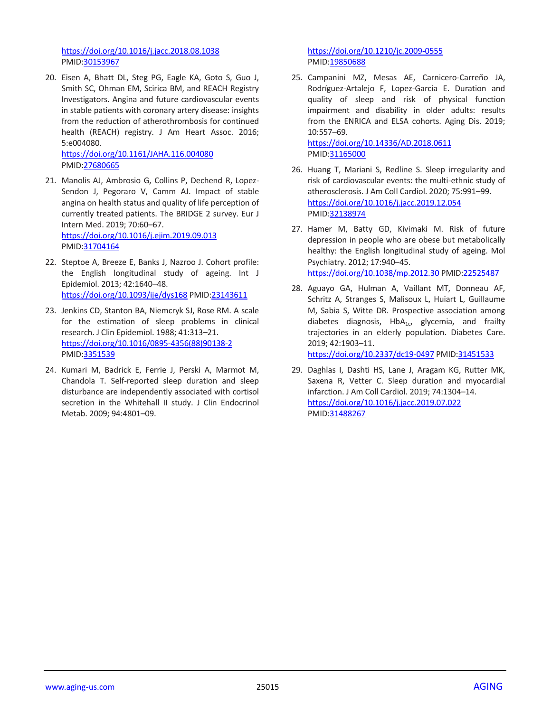<https://doi.org/10.1016/j.jacc.2018.08.1038> PMID[:30153967](https://pubmed.ncbi.nlm.nih.gov/30153967)

20. Eisen A, Bhatt DL, Steg PG, Eagle KA, Goto S, Guo J, Smith SC, Ohman EM, Scirica BM, and REACH Registry Investigators. Angina and future cardiovascular events in stable patients with coronary artery disease: insights from the reduction of atherothrombosis for continued health (REACH) registry. J Am Heart Assoc. 2016; 5:e004080.

<https://doi.org/10.1161/JAHA.116.004080> PMID[:27680665](https://pubmed.ncbi.nlm.nih.gov/27680665)

21. Manolis AJ, Ambrosio G, Collins P, Dechend R, Lopez-Sendon J, Pegoraro V, Camm AJ. Impact of stable angina on health status and quality of life perception of currently treated patients. The BRIDGE 2 survey. Eur J Intern Med. 2019; 70:60–67. <https://doi.org/10.1016/j.ejim.2019.09.013>

PMID[:31704164](https://pubmed.ncbi.nlm.nih.gov/31704164)

- 22. Steptoe A, Breeze E, Banks J, Nazroo J. Cohort profile: the English longitudinal study of ageing. Int J Epidemiol. 2013; 42:1640–48. <https://doi.org/10.1093/ije/dys168> PMID[:23143611](https://pubmed.ncbi.nlm.nih.gov/23143611)
- 23. Jenkins CD, Stanton BA, Niemcryk SJ, Rose RM. A scale for the estimation of sleep problems in clinical research. J Clin Epidemiol. 1988; 41:313–21. [https://doi.org/10.1016/0895-4356\(88\)90138-2](https://doi.org/10.1016/0895-4356(88)90138-2) PMID[:3351539](https://pubmed.ncbi.nlm.nih.gov/3351539)
- 24. Kumari M, Badrick E, Ferrie J, Perski A, Marmot M, Chandola T. Self-reported sleep duration and sleep disturbance are independently associated with cortisol secretion in the Whitehall II study. J Clin Endocrinol Metab. 2009; 94:4801–09.

<https://doi.org/10.1210/jc.2009-0555> PMI[D:19850688](https://pubmed.ncbi.nlm.nih.gov/19850688)

25. Campanini MZ, Mesas AE, Carnicero-Carreño JA, Rodríguez-Artalejo F, Lopez-Garcia E. Duration and quality of sleep and risk of physical function impairment and disability in older adults: results from the ENRICA and ELSA cohorts. Aging Dis. 2019; 10:557–69. <https://doi.org/10.14336/AD.2018.0611>

PMI[D:31165000](https://pubmed.ncbi.nlm.nih.gov/31165000)

- 26. Huang T, Mariani S, Redline S. Sleep irregularity and risk of cardiovascular events: the multi-ethnic study of atherosclerosis. J Am Coll Cardiol. 2020; 75:991–99. <https://doi.org/10.1016/j.jacc.2019.12.054> PMI[D:32138974](https://pubmed.ncbi.nlm.nih.gov/32138974)
- 27. Hamer M, Batty GD, Kivimaki M. Risk of future depression in people who are obese but metabolically healthy: the English longitudinal study of ageing. Mol Psychiatry. 2012; 17:940–45. <https://doi.org/10.1038/mp.2012.30> PMID[:22525487](https://pubmed.ncbi.nlm.nih.gov/22525487)
- 28. Aguayo GA, Hulman A, Vaillant MT, Donneau AF, Schritz A, Stranges S, Malisoux L, Huiart L, Guillaume M, Sabia S, Witte DR. Prospective association among diabetes diagnosis,  $HbA_{1c}$ , glycemia, and frailty trajectories in an elderly population. Diabetes Care. 2019; 42:1903–11.

<https://doi.org/10.2337/dc19-0497> PMID[:31451533](https://pubmed.ncbi.nlm.nih.gov/31451533)

29. Daghlas I, Dashti HS, Lane J, Aragam KG, Rutter MK, Saxena R, Vetter C. Sleep duration and myocardial infarction. J Am Coll Cardiol. 2019; 74:1304–14. <https://doi.org/10.1016/j.jacc.2019.07.022> PMI[D:31488267](https://pubmed.ncbi.nlm.nih.gov/31488267)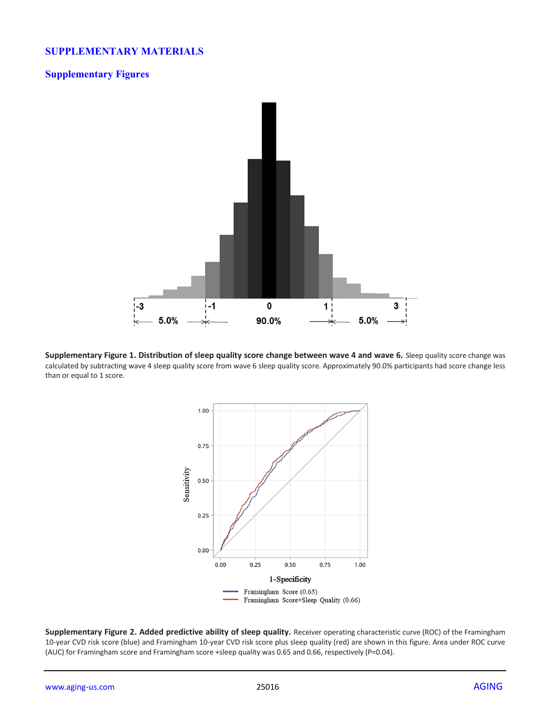## **SUPPLEMENTARY MATERIALS**

#### **Supplementary Figures**



Supplementary Figure 1. Distribution of sleep quality score change between wave 4 and wave 6. Sleep quality score change was calculated by subtracting wave 4 sleep quality score from wave 6 sleep quality score. Approximately 90.0% participants had score change less than or equal to 1 score.



**Supplementary Figure 2. Added predictive ability of sleep quality.** Receiver operating characteristic curve (ROC) of the Framingham 10-year CVD risk score (blue) and Framingham 10-year CVD risk score plus sleep quality (red) are shown in this figure. Area under ROC curve (AUC) for Framingham score and Framingham score +sleep quality was 0.65 and 0.66, respectively (P=0.04).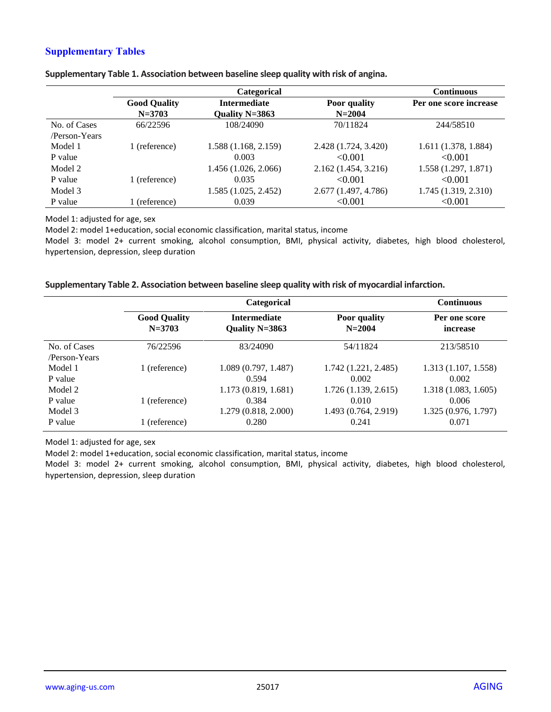## **Supplementary Tables**

|               |                     | <b>Categorical</b>   |                      | <b>Continuous</b>      |
|---------------|---------------------|----------------------|----------------------|------------------------|
|               | <b>Good Quality</b> | <b>Intermediate</b>  | <b>Poor</b> quality  | Per one score increase |
|               | $N = 3703$          | Quality N=3863       | $N = 2004$           |                        |
| No. of Cases  | 66/22596            | 108/24090            | 70/11824             | 244/58510              |
| /Person-Years |                     |                      |                      |                        |
| Model 1       | 1 (reference)       | 1.588 (1.168, 2.159) | 2.428 (1.724, 3.420) | 1.611 (1.378, 1.884)   |
| P value       |                     | 0.003                | < 0.001              | < 0.001                |
| Model 2       |                     | 1.456 (1.026, 2.066) | 2.162(1.454, 3.216)  | 1.558 (1.297, 1.871)   |
| P value       | 1 (reference)       | 0.035                | < 0.001              | < 0.001                |
| Model 3       |                     | 1.585 (1.025, 2.452) | 2.677 (1.497, 4.786) | 1.745 (1.319, 2.310)   |
| P value       | 1 (reference)       | 0.039                | < 0.001              | < 0.001                |

**Supplementary Table 1. Association between baseline sleep quality with risk of angina.**

Model 1: adjusted for age, sex

Model 2: model 1+education, social economic classification, marital status, income

Model 3: model 2+ current smoking, alcohol consumption, BMI, physical activity, diabetes, high blood cholesterol, hypertension, depression, sleep duration

#### **Supplementary Table 2. Association between baseline sleep quality with risk of myocardial infarction.**

| Categorical                       |                                       |                               | <b>Continuous</b>                                    |
|-----------------------------------|---------------------------------------|-------------------------------|------------------------------------------------------|
| <b>Good Quality</b><br>$N = 3703$ | <b>Intermediate</b><br>Quality N=3863 | Poor quality<br>$N = 2004$    | Per one score<br>increase                            |
| 76/22596                          | 83/24090                              | 54/11824                      | 213/58510                                            |
| 1 (reference)                     | 1.089 (0.797, 1.487)<br>0.594         | 1.742 (1.221, 2.485)<br>0.002 | 1.313 (1.107, 1.558)<br>0.002<br>1.318(1.083, 1.605) |
| 1 (reference)                     | 0.384<br>1.279 (0.818, 2.000)         | 0.010<br>1.493 (0.764, 2.919) | 0.006<br>1.325 (0.976, 1.797)<br>0.071               |
|                                   | 1 (reference)                         | 1.173(0.819, 1.681)<br>0.280  | 1.726(1.139, 2.615)<br>0.241                         |

Model 1: adjusted for age, sex

Model 2: model 1+education, social economic classification, marital status, income

Model 3: model 2+ current smoking, alcohol consumption, BMI, physical activity, diabetes, high blood cholesterol, hypertension, depression, sleep duration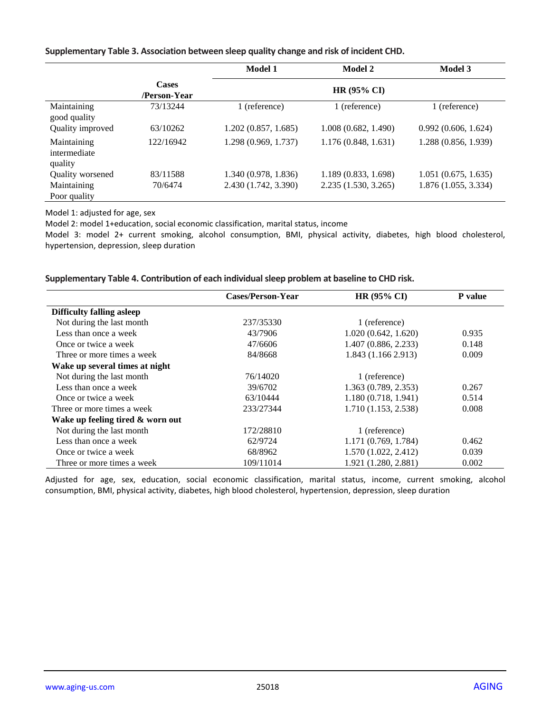#### **Supplementary Table 3. Association between sleep quality change and risk of incident CHD.**

|                                        |                              | <b>Model 1</b>       | Model 2             | <b>Model 3</b>       |
|----------------------------------------|------------------------------|----------------------|---------------------|----------------------|
|                                        | <b>Cases</b><br>/Person-Year |                      | HR (95% CI)         |                      |
| Maintaining<br>good quality            | 73/13244                     | 1 (reference)        | 1 (reference)       | 1 (reference)        |
| Quality improved                       | 63/10262                     | 1.202(0.857, 1.685)  | 1.008(0.682, 1.490) | 0.992(0.606, 1.624)  |
| Maintaining<br>intermediate<br>quality | 122/16942                    | 1.298 (0.969, 1.737) | 1.176(0.848, 1.631) | 1.288 (0.856, 1.939) |
| Quality worsened                       | 83/11588                     | 1.340 (0.978, 1.836) | 1.189(0.833, 1.698) | 1.051(0.675, 1.635)  |
| Maintaining<br>Poor quality            | 70/6474                      | 2.430 (1.742, 3.390) | 2.235(1.530, 3.265) | 1.876(1.055, 3.334)  |

Model 1: adjusted for age, sex

Model 2: model 1+education, social economic classification, marital status, income

Model 3: model 2+ current smoking, alcohol consumption, BMI, physical activity, diabetes, high blood cholesterol, hypertension, depression, sleep duration

#### **Supplementary Table 4. Contribution of each individual sleep problem at baseline to CHD risk.**

|                                  | Cases/Person-Year | HR (95% CI)          | P value |
|----------------------------------|-------------------|----------------------|---------|
| <b>Difficulty falling asleep</b> |                   |                      |         |
| Not during the last month        | 237/35330         | 1 (reference)        |         |
| Less than once a week            | 43/7906           | 1.020(0.642, 1.620)  | 0.935   |
| Once or twice a week             | 47/6606           | 1.407(0.886, 2.233)  | 0.148   |
| Three or more times a week       | 84/8668           | 1.843 (1.166 2.913)  | 0.009   |
| Wake up several times at night   |                   |                      |         |
| Not during the last month        | 76/14020          | 1 (reference)        |         |
| Less than once a week            | 39/6702           | 1.363 (0.789, 2.353) | 0.267   |
| Once or twice a week             | 63/10444          | 1.180(0.718, 1.941)  | 0.514   |
| Three or more times a week       | 233/27344         | 1.710 (1.153, 2.538) | 0.008   |
| Wake up feeling tired & worn out |                   |                      |         |
| Not during the last month        | 172/28810         | 1 (reference)        |         |
| Less than once a week            | 62/9724           | 1.171 (0.769, 1.784) | 0.462   |
| Once or twice a week             | 68/8962           | 1.570 (1.022, 2.412) | 0.039   |
| Three or more times a week       | 109/11014         | 1.921 (1.280, 2.881) | 0.002   |

Adjusted for age, sex, education, social economic classification, marital status, income, current smoking, alcohol consumption, BMI, physical activity, diabetes, high blood cholesterol, hypertension, depression, sleep duration